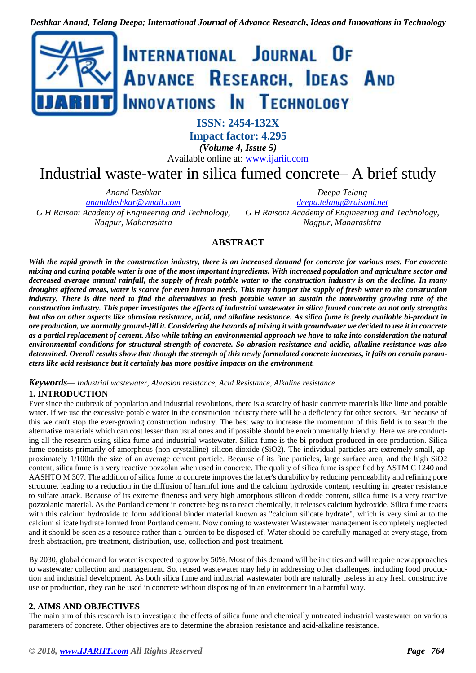

**ISSN: 2454-132X**

**Impact factor: 4.295**

*(Volume 4, Issue 5)* Available online at: [www.ijariit.com](https://www.ijariit.com/?utm_source=pdf&utm_medium=edition&utm_campaign=OmAkSols&utm_term=V4I5-1472)

# Industrial waste-water in silica fumed concrete– A brief study

*Anand Deshkar*

*[ananddeshkar@ymail.com](mailto:ananddeshkar@ymail.com) G H Raisoni Academy of Engineering and Technology, Nagpur, Maharashtra*

*Deepa Telang [deepa.telang@raisoni.net](mailto:deepa.telang@raisoni.net) G H Raisoni Academy of Engineering and Technology, Nagpur, Maharashtra*

# **ABSTRACT**

With the rapid growth in the construction industry, there is an increased demand for concrete for various uses. For concrete mixing and curing potable water is one of the most important ingredients. With increased population and agriculture sector and decreased average annual rainfall, the supply of fresh potable water to the construction industry is on the decline. In many droughts affected areas, water is scarce for even human needs. This may hamper the supply of fresh water to the construction industry. There is dire need to find the alternatives to fresh potable water to sustain the noteworthy growing rate of the construction industry. This paper investigates the effects of industrial wastewater in silica fumed concrete on not only strengths but also on other aspects like abrasion resistance, acid, and alkaline resistance. As silica fume is freely available bi-product in ore production, we normally ground-fill it. Considering the hazards of mixing it with groundwater we decided to use it in concrete as a partial replacement of cement. Also while taking an environmental approach we have to take into consideration the natural environmental conditions for structural strength of concrete. So abrasion resistance and acidic, alkaline resistance was also determined. Overall results show that though the strength of this newly formulated concrete increases, it fails on certain param*eters like acid resistance but it certainly has more positive impacts on the environment.*

*Keywords— Industrial wastewater, Abrasion resistance, Acid Resistance, Alkaline resistance*

# **1. INTRODUCTION**

Ever since the outbreak of population and industrial revolutions, there is a scarcity of basic concrete materials like lime and potable water. If we use the excessive potable water in the construction industry there will be a deficiency for other sectors. But because of this we can't stop the ever-growing construction industry. The best way to increase the momentum of this field is to search the alternative materials which can cost lesser than usual ones and if possible should be environmentally friendly. Here we are conducting all the research using silica fume and industrial wastewater. Silica fume is the bi-product produced in ore production. Silica fume consists primarily of amorphous (non-crystalline) silicon dioxide (SiO2). The individual particles are extremely small, approximately 1/100th the size of an average cement particle. Because of its fine particles, large surface area, and the high SiO2 content, silica fume is a very reactive pozzolan when used in concrete. The quality of silica fume is specified by ASTM C 1240 and AASHTO M 307. The addition of silica fume to concrete improves the latter's durability by reducing permeability and refining pore structure, leading to a reduction in the diffusion of harmful ions and the calcium hydroxide content, resulting in greater resistance to sulfate attack. Because of its extreme fineness and very high amorphous silicon dioxide content, silica fume is a very reactive pozzolanic material. As the Portland cement in concrete begins to react chemically, it releases calcium hydroxide. Silica fume reacts with this calcium hydroxide to form additional binder material known as "calcium silicate hydrate", which is very similar to the calcium silicate hydrate formed from Portland cement. Now coming to wastewater Wastewater management is completely neglected and it should be seen as a resource rather than a burden to be disposed of. Water should be carefully managed at every stage, from fresh abstraction, pre-treatment, distribution, use, collection and post-treatment.

By 2030, global demand for water is expected to grow by 50%. Most of this demand will be in cities and will require new approaches to wastewater collection and management. So, reused wastewater may help in addressing other challenges, including food production and industrial development. As both silica fume and industrial wastewater both are naturally useless in any fresh constructive use or production, they can be used in concrete without disposing of in an environment in a harmful way.

# **2. AIMS AND OBJECTIVES**

The main aim of this research is to investigate the effects of silica fume and chemically untreated industrial wastewater on various parameters of concrete. Other objectives are to determine the abrasion resistance and acid-alkaline resistance.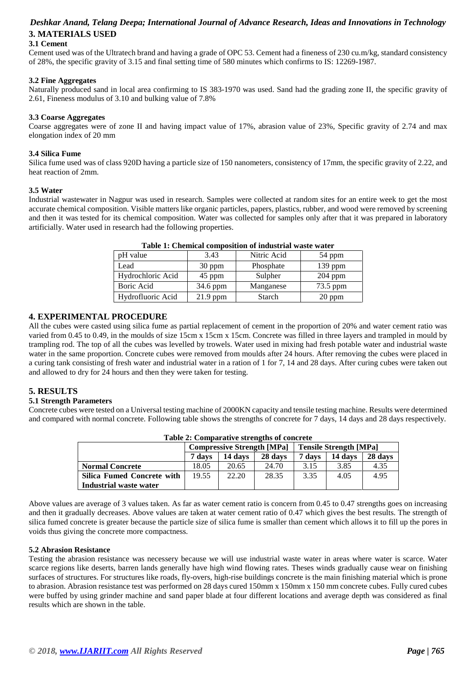# *Deshkar Anand, Telang Deepa; International Journal of Advance Research, Ideas and Innovations in Technology* **3. MATERIALS USED**

## **3.1 Cement**

Cement used was of the Ultratech brand and having a grade of OPC 53. Cement had a fineness of 230 cu.m/kg, standard consistency of 28%, the specific gravity of 3.15 and final setting time of 580 minutes which confirms to IS: 12269-1987.

#### **3.2 Fine Aggregates**

Naturally produced sand in local area confirming to IS 383-1970 was used. Sand had the grading zone II, the specific gravity of 2.61, Fineness modulus of 3.10 and bulking value of 7.8%

#### **3.3 Coarse Aggregates**

Coarse aggregates were of zone II and having impact value of 17%, abrasion value of 23%, Specific gravity of 2.74 and max elongation index of 20 mm

#### **3.4 Silica Fume**

Silica fume used was of class 920D having a particle size of 150 nanometers, consistency of 17mm, the specific gravity of 2.22, and heat reaction of 2mm.

#### **3.5 Water**

Industrial wastewater in Nagpur was used in research. Samples were collected at random sites for an entire week to get the most accurate chemical composition. Visible matters like organic particles, papers, plastics, rubber, and wood were removed by screening and then it was tested for its chemical composition. Water was collected for samples only after that it was prepared in laboratory artificially. Water used in research had the following properties.

| 3.43     | Nitric Acid | 54 ppm    |  |
|----------|-------------|-----------|--|
| 30 ppm   | Phosphate   | $139$ ppm |  |
| 45 ppm   | Sulpher     | $204$ ppm |  |
| 34.6 ppm | Manganese   | 73.5 ppm  |  |
| 21.9 ppm | Starch      | 20 ppm    |  |
|          |             |           |  |

| Table 1: Chemical composition of industrial waste water |
|---------------------------------------------------------|
|---------------------------------------------------------|

#### **4. EXPERIMENTAL PROCEDURE**

All the cubes were casted using silica fume as partial replacement of cement in the proportion of 20% and water cement ratio was varied from 0.45 to 0.49, in the moulds of size 15cm x 15cm x 15cm. Concrete was filled in three layers and trampled in mould by trampling rod. The top of all the cubes was levelled by trowels. Water used in mixing had fresh potable water and industrial waste water in the same proportion. Concrete cubes were removed from moulds after 24 hours. After removing the cubes were placed in a curing tank consisting of fresh water and industrial water in a ration of 1 for 7, 14 and 28 days. After curing cubes were taken out and allowed to dry for 24 hours and then they were taken for testing.

# **5. RESULTS**

#### **5.1 Strength Parameters**

Concrete cubes were tested on a Universal testing machine of 2000KN capacity and tensile testing machine. Results were determined and compared with normal concrete. Following table shows the strengths of concrete for 7 days, 14 days and 28 days respectively.

| Table 2: Comparative strengths of concrete |        |                                   |         |                               |         |         |  |
|--------------------------------------------|--------|-----------------------------------|---------|-------------------------------|---------|---------|--|
|                                            |        | <b>Compressive Strength [MPa]</b> |         | <b>Tensile Strength [MPa]</b> |         |         |  |
|                                            | 7 days | 14 days                           | 28 days | 7 davs                        | 14 days | 28 days |  |
| <b>Normal Concrete</b>                     | 18.05  | 20.65                             | 24.70   | 3.15                          | 3.85    | 4.35    |  |
| <b>Silica Fumed Concrete with</b>          | 19.55  | 22.20                             | 28.35   | 3.35                          | 4.05    | 4.95    |  |
| Industrial waste water                     |        |                                   |         |                               |         |         |  |

# **Table 2: Comparative strengths of concrete**

Above values are average of 3 values taken. As far as water cement ratio is concern from 0.45 to 0.47 strengths goes on increasing and then it gradually decreases. Above values are taken at water cement ratio of 0.47 which gives the best results. The strength of silica fumed concrete is greater because the particle size of silica fume is smaller than cement which allows it to fill up the pores in voids thus giving the concrete more compactness.

#### **5.2 Abrasion Resistance**

Testing the abrasion resistance was necessery because we will use industrial waste water in areas where water is scarce. Water scarce regions like deserts, barren lands generally have high wind flowing rates. Theses winds gradually cause wear on finishing surfaces of structures. For structures like roads, fly-overs, high-rise buildings concrete is the main finishing material which is prone to abrasion. Abrasion resistance test was performed on 28 days cured 150mm x 150mm x 150 mm concrete cubes. Fully cured cubes were buffed by using grinder machine and sand paper blade at four different locations and average depth was considered as final results which are shown in the table.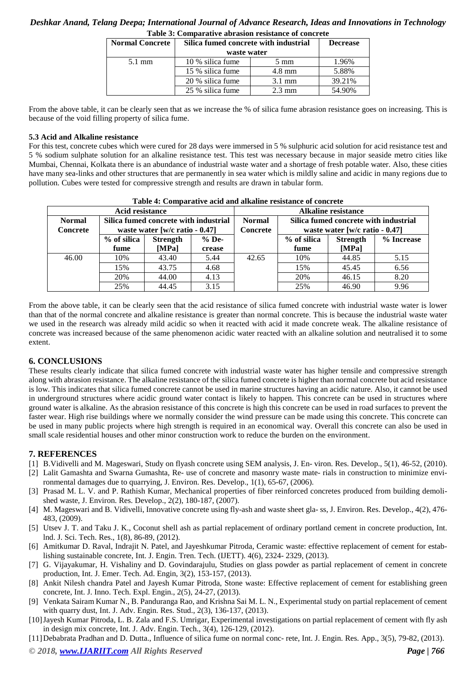## *Deshkar Anand, Telang Deepa; International Journal of Advance Research, Ideas and Innovations in Technology* **Table 3: Comparative abrasion resistance of concrete**

| <b>Normal Concrete</b> | Silica fumed concrete with industrial<br>waste water | <b>Decrease</b>  |        |
|------------------------|------------------------------------------------------|------------------|--------|
| $5.1 \text{ mm}$       | 10 % silica fume                                     | $5 \text{ mm}$   | 1.96%  |
|                        | 15 % silica fume                                     | $4.8 \text{ mm}$ | 5.88%  |
|                        | 20 % silica fume                                     | $3.1 \text{ mm}$ | 39.21% |
|                        | 25 % silica fume                                     | $2.3 \text{ mm}$ | 54.90% |

From the above table, it can be clearly seen that as we increase the % of silica fume abrasion resistance goes on increasing. This is because of the void filling property of silica fume.

#### **5.3 Acid and Alkaline resistance**

For this test, concrete cubes which were cured for 28 days were immersed in 5 % sulphuric acid solution for acid resistance test and 5 % sodium sulphate solution for an alkaline resistance test. This test was necessary because in major seaside metro cities like Mumbai, Chennai, Kolkata there is an abundance of industrial waste water and a shortage of fresh potable water. Also, these cities have many sea-links and other structures that are permanently in sea water which is mildly saline and acidic in many regions due to pollution. Cubes were tested for compressive strength and results are drawn in tabular form.

| Tudio 41 Combardin'i acid ami amamin' romanice or concrete |                                          |                 |         |                            |                                       |                 |            |  |
|------------------------------------------------------------|------------------------------------------|-----------------|---------|----------------------------|---------------------------------------|-----------------|------------|--|
| Acid resistance                                            |                                          |                 |         | <b>Alkaline resistance</b> |                                       |                 |            |  |
| <b>Normal</b>                                              | Silica fumed concrete with industrial    |                 |         | <b>Normal</b>              | Silica fumed concrete with industrial |                 |            |  |
| <b>Concrete</b>                                            | waste water $[w/c \text{ ratio} - 0.47]$ |                 |         | Concrete                   | waste water [w/c ratio $-0.47$ ]      |                 |            |  |
|                                                            | % of silica                              | <b>Strength</b> | $%$ De- |                            | % of silica                           | <b>Strength</b> | % Increase |  |
|                                                            | fume                                     | [MPa]           | crease  |                            | fume                                  | [MPa]           |            |  |
| 46.00                                                      | 10%                                      | 43.40           | 5.44    | 42.65                      | 10%                                   | 44.85           | 5.15       |  |
|                                                            | 15%                                      | 43.75           | 4.68    |                            | 15%                                   | 45.45           | 6.56       |  |
|                                                            | 20%                                      | 44.00           | 4.13    |                            | 20%                                   | 46.15           | 8.20       |  |
|                                                            | 25%                                      | 44.45           | 3.15    |                            | 25%                                   | 46.90           | 9.96       |  |

**Table 4: Comparative acid and alkaline resistance of concrete**

From the above table, it can be clearly seen that the acid resistance of silica fumed concrete with industrial waste water is lower than that of the normal concrete and alkaline resistance is greater than normal concrete. This is because the industrial waste water we used in the research was already mild acidic so when it reacted with acid it made concrete weak. The alkaline resistance of concrete was increased because of the same phenomenon acidic water reacted with an alkaline solution and neutralised it to some extent.

## **6. CONCLUSIONS**

These results clearly indicate that silica fumed concrete with industrial waste water has higher tensile and compressive strength along with abrasion resistance. The alkaline resistance of the silica fumed concrete is higher than normal concrete but acid resistance is low. This indicates that silica fumed concrete cannot be used in marine structures having an acidic nature. Also, it cannot be used in underground structures where acidic ground water contact is likely to happen. This concrete can be used in structures where ground water is alkaline. As the abrasion resistance of this concrete is high this concrete can be used in road surfaces to prevent the faster wear. High rise buildings where we normally consider the wind pressure can be made using this concrete. This concrete can be used in many public projects where high strength is required in an economical way. Overall this concrete can also be used in small scale residential houses and other minor construction work to reduce the burden on the environment.

## **7. REFERENCES**

- [1] B.Vidivelli and M. Mageswari, Study on flyash concrete using SEM analysis, J. En- viron. Res. Develop., 5(1), 46-52, (2010).
- [2] Lalit Gamashta and Swarna Gumashta, Re- use of concrete and masonry waste mate- rials in construction to minimize environmental damages due to quarrying, J. Environ. Res. Develop., 1(1), 65-67, (2006).
- [3] Prasad M. L. V. and P. Rathish Kumar, Mechanical properties of fiber reinforced concretes produced from building demolished waste, J. Environ. Res. Develop., 2(2), 180-187, (2007).
- [4] M. Mageswari and B. Vidivelli, Innovative concrete using fly-ash and waste sheet gla- ss, J. Environ. Res. Develop., 4(2), 476- 483, (2009).
- [5] Utsev J. T. and Taku J. K., Coconut shell ash as partial replacement of ordinary portland cement in concrete production, Int. lnd. J. Sci. Tech. Res., 1(8), 86-89, (2012).
- [6] Amitkumar D. Raval, Indrajit N. Patel, and Jayeshkumar Pitroda, Ceramic waste: effecttive replacement of cement for establishing sustainable concrete, Int. J. Engin. Tren. Tech. (IJETT). 4(6), 2324- 2329, (2013).
- [7] G. Vijayakumar, H. Vishaliny and D. Govindarajulu, Studies on glass powder as partial replacement of cement in concrete production, Int. J. Emer. Tech. Ad. Engin, 3(2), 153-157, (2013).
- [8] Ankit Nilesh chandra Patel and Jayesh Kumar Pitroda, Stone waste: Effective replacement of cement for establishing green concrete, Int. J. Inno. Tech. Expl. Engin., 2(5), 24-27, (2013).
- [9] Venkata Sairam Kumar N., B. Panduranga Rao, and Krishna Sai M. L. N., Experimental study on partial replacement of cement with quarry dust, Int. J. Adv. Engin. Res. Stud., 2(3), 136-137, (2013).
- [10]Jayesh Kumar Pitroda, L. B. Zala and F.S. Umrigar, Experimental investigations on partial replacement of cement with fly ash in design mix concrete, Int. J. Adv. Engin. Tech., 3(4), 126-129, (2012).
- [11]Debabrata Pradhan and D. Dutta., Influence of silica fume on normal conc- rete, Int. J. Engin. Res. App., 3(5), 79-82, (2013).